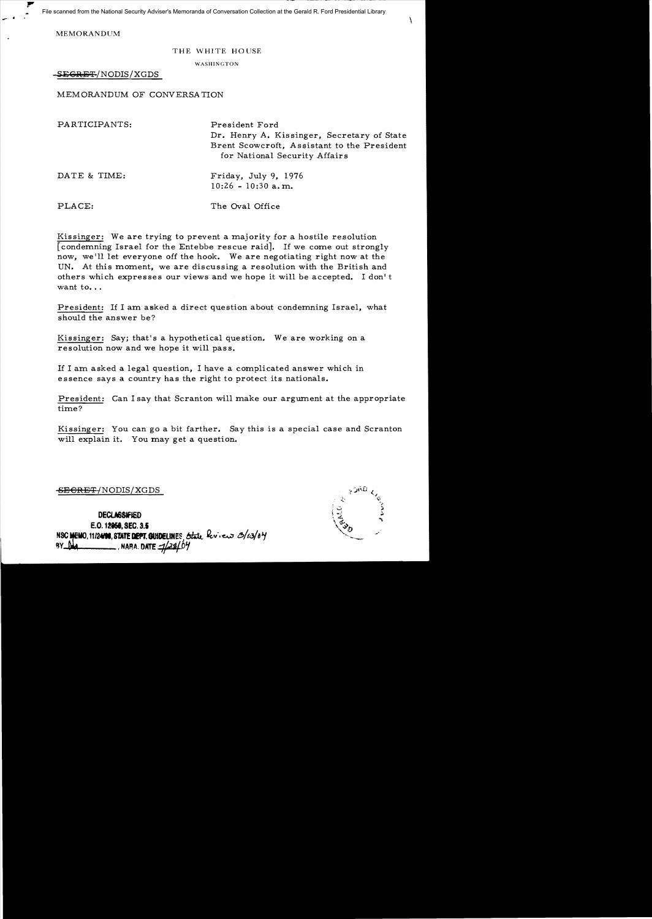File scanned from the National Security Adviser's Memoranda of Conversation Collection at the Gerald R. Ford Presidential Library

MEMORANDUM

## THE WHITE HOUSE

WASHINGTON

SE<del>GRET</del>/NODIS/XGDS

MEMORANDUM OF CONVERSATION

| PARTICIPANTS: | President Ford<br>Dr. Henry A. Kissinger, Secretary of State<br>Brent Scowcroft, Assistant to the President<br>for National Security Affairs |
|---------------|----------------------------------------------------------------------------------------------------------------------------------------------|
| DATE & TIME:  | Friday, July 9, 1976<br>$10:26 - 10:30$ a.m.                                                                                                 |
| PLACE:        | The Oval Office                                                                                                                              |

Kissinger: We are trying to prevent a majority for a hostile resolution [condemning Israel for the Entebbe rescue raid]. If we come out strongly now, we'll let everyone off the hook. We are negotiating right now at the UN. At this moment, we are discussing a resolution with the British and others which expresses our views and we hope it will be accepted. I don't want to...

President: If I am asked a direct question about condemning Israel, what should the answer be?

Kissinger: Say; that's a hypothetical question. We are working on a resolution now and we hope it will pass.

If I am asked a legal question, I have a complicated answer which in essence says a country has the right to protect its nationals.

President: Can I say that Scranton will make our argument at the appropriate time?

Kissinger: You can go a bit farther. Say this is a special case and Scranton will explain it. You may get a question.

<del>SEGRET/</del>NODIS/XGDS

 $\mathbf{r}$ 

**DECLASSIFIED** E.O. 12958, SEC. 3.5 NSC MEMO, 11/24198, STATE DEPT. GUIDELINES, State berieve 3/13/04 **NARA.** DATE = 1/28/07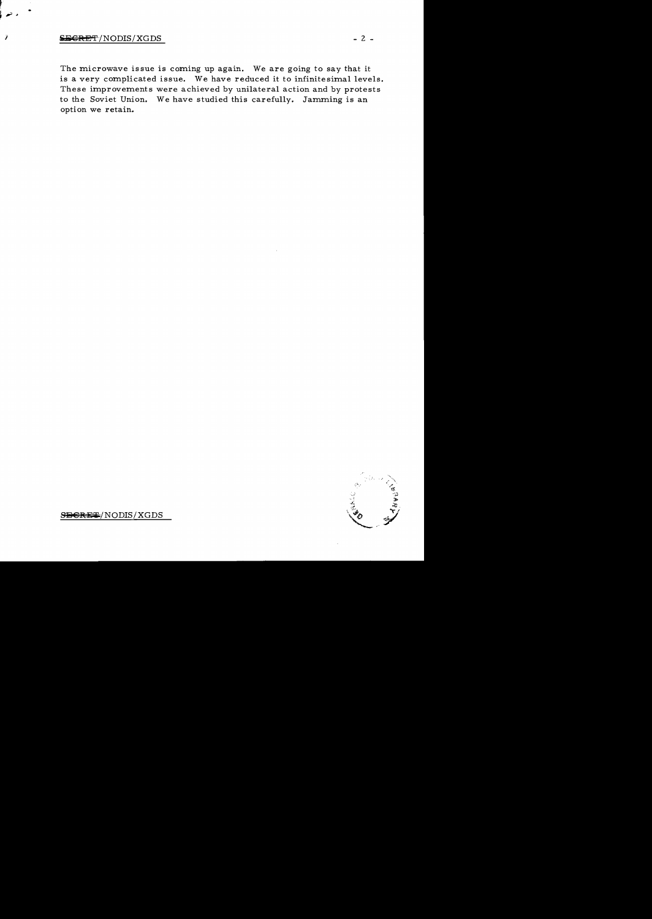## $S_{\text{B} \text{ER} \text{ET}}/ \text{NODIS} / \text{XGDS}$  - 2 -

7

The microwave issue is coming up again. We are going to say that it is a very complicated issue. We have reduced it to infinitesimal levels. These improvements were achieved by unilateral action and by protests to the Soviet Union. We have studied this carefully. Jamming is an option we retain.



 $S$ B $R$ E $\leftarrow$ / NODIS/XGDS